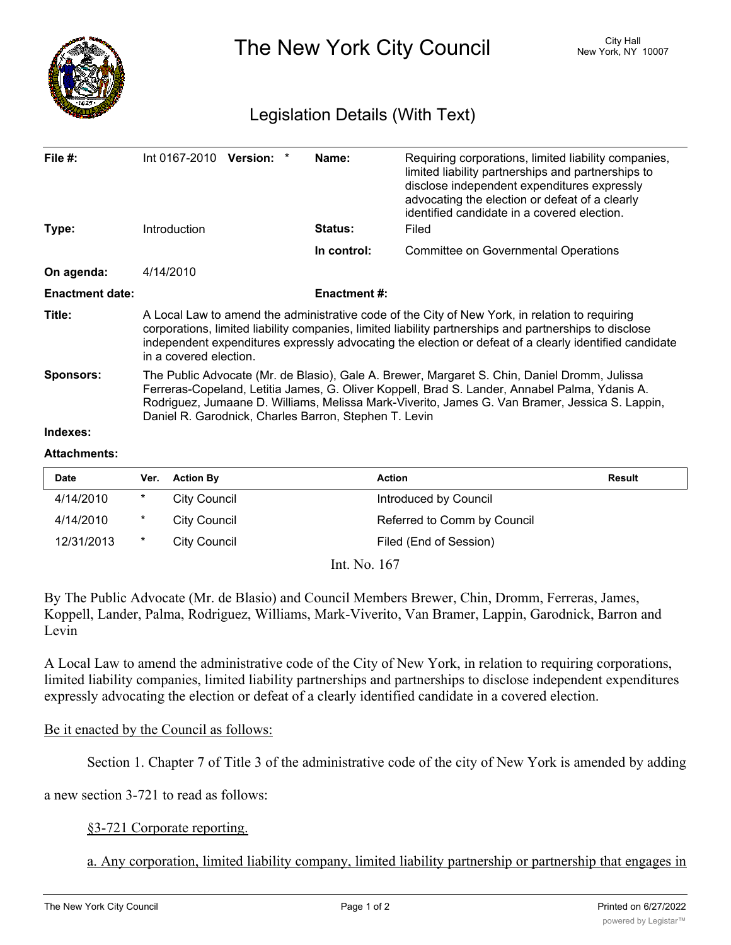

## **Attachments:**

| Date       | Ver.    | <b>Action By</b> | <b>Action</b>               | <b>Result</b> |
|------------|---------|------------------|-----------------------------|---------------|
| 4/14/2010  | $\ast$  | City Council     | Introduced by Council       |               |
| 4/14/2010  | $\ast$  | City Council     | Referred to Comm by Council |               |
| 12/31/2013 | $\star$ | City Council     | Filed (End of Session)      |               |
|            |         | <b>T. 37 1/2</b> |                             |               |

Int. No. 167

By The Public Advocate (Mr. de Blasio) and Council Members Brewer, Chin, Dromm, Ferreras, James, Koppell, Lander, Palma, Rodriguez, Williams, Mark-Viverito, Van Bramer, Lappin, Garodnick, Barron and Levin

A Local Law to amend the administrative code of the City of New York, in relation to requiring corporations, limited liability companies, limited liability partnerships and partnerships to disclose independent expenditures expressly advocating the election or defeat of a clearly identified candidate in a covered election.

## Be it enacted by the Council as follows:

Section 1. Chapter 7 of Title 3 of the administrative code of the city of New York is amended by adding

a new section 3-721 to read as follows:

## §3-721 Corporate reporting.

a. Any corporation, limited liability company, limited liability partnership or partnership that engages in